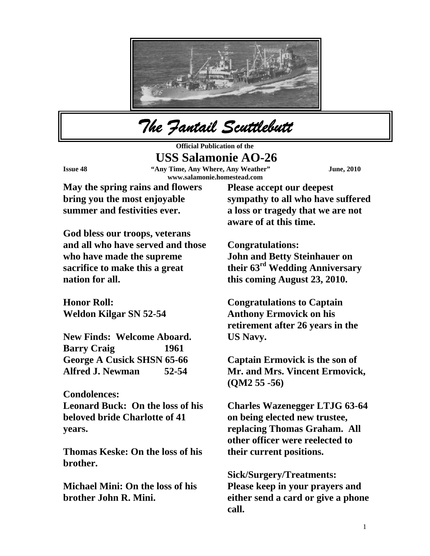

*The Fantail Scuttlebutt* 

**Official Publication of the USS Salamonie AO-26 Issue 48 "Any Time, Any Where, Any Weather" June, 2010 www.salamonie.homestead.com** 

**May the spring rains and flowers bring you the most enjoyable summer and festivities ever.** 

**Please accept our deepest sympathy to all who have suffered a loss or tragedy that we are not aware of at this time.** 

**God bless our troops, veterans and all who have served and those who have made the supreme sacrifice to make this a great nation for all.** 

**Honor Roll: Weldon Kilgar SN 52-54** 

**New Finds: Welcome Aboard. Barry Craig 1961 George A Cusick SHSN 65-66 Alfred J. Newman 52-54** 

**Condolences:** 

**Leonard Buck: On the loss of his beloved bride Charlotte of 41 years.** 

**Thomas Keske: On the loss of his brother.** 

**Michael Mini: On the loss of his brother John R. Mini.** 

**Congratulations: John and Betty Steinhauer on their 63rd Wedding Anniversary this coming August 23, 2010.** 

**Congratulations to Captain Anthony Ermovick on his retirement after 26 years in the US Navy.** 

**Captain Ermovick is the son of Mr. and Mrs. Vincent Ermovick, (QM2 55 -56)** 

**Charles Wazenegger LTJG 63-64 on being elected new trustee, replacing Thomas Graham. All other officer were reelected to their current positions.** 

**Sick/Surgery/Treatments: Please keep in your prayers and either send a card or give a phone call.**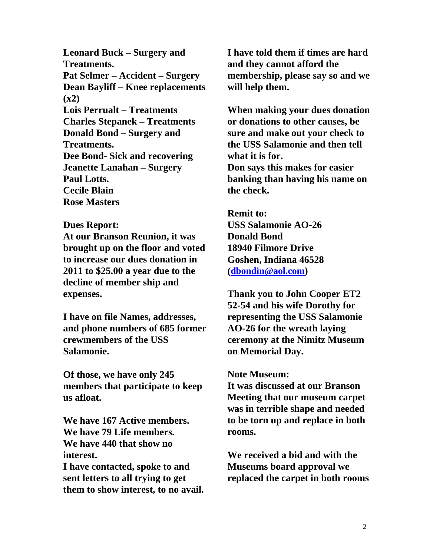**Leonard Buck – Surgery and Treatments. Pat Selmer – Accident – Surgery Dean Bayliff – Knee replacements (x2) Lois Perrualt – Treatments Charles Stepanek – Treatments Donald Bond – Surgery and Treatments. Dee Bond- Sick and recovering Jeanette Lanahan – Surgery Paul Lotts. Cecile Blain Rose Masters** 

## **Dues Report:**

**At our Branson Reunion, it was brought up on the floor and voted to increase our dues donation in 2011 to \$25.00 a year due to the decline of member ship and expenses.** 

**I have on file Names, addresses, and phone numbers of 685 former crewmembers of the USS Salamonie.** 

**Of those, we have only 245 members that participate to keep us afloat.** 

**We have 167 Active members. We have 79 Life members. We have 440 that show no interest.** 

**I have contacted, spoke to and sent letters to all trying to get them to show interest, to no avail.**  **I have told them if times are hard and they cannot afford the membership, please say so and we will help them.** 

**When making your dues donation or donations to other causes, be sure and make out your check to the USS Salamonie and then tell what it is for. Don says this makes for easier banking than having his name on the check.** 

**Remit to: USS Salamonie AO-26 Donald Bond 18940 Filmore Drive Goshen, Indiana 46528 ([dbondin@aol.com\)](mailto:dbondin@aol.com)** 

**Thank you to John Cooper ET2 52-54 and his wife Dorothy for representing the USS Salamonie AO-26 for the wreath laying ceremony at the Nimitz Museum on Memorial Day.** 

## **Note Museum:**

**It was discussed at our Branson Meeting that our museum carpet was in terrible shape and needed to be torn up and replace in both rooms.** 

**We received a bid and with the Museums board approval we replaced the carpet in both rooms**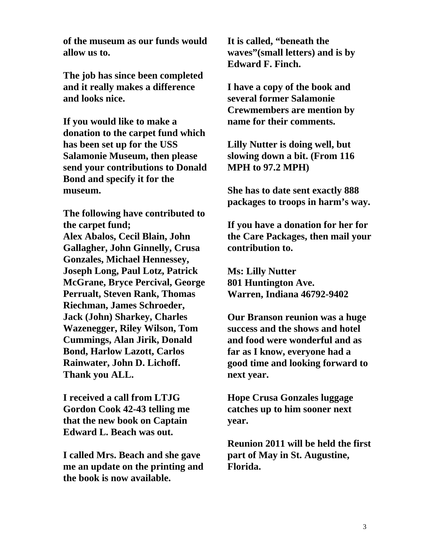**of the museum as our funds would allow us to.** 

**The job has since been completed and it really makes a difference and looks nice.** 

**If you would like to make a donation to the carpet fund which has been set up for the USS Salamonie Museum, then please send your contributions to Donald Bond and specify it for the museum.** 

**The following have contributed to the carpet fund; Alex Abalos, Cecil Blain, John Gallagher, John Ginnelly, Crusa Gonzales, Michael Hennessey, Joseph Long, Paul Lotz, Patrick McGrane, Bryce Percival, George Perrualt, Steven Rank, Thomas Riechman, James Schroeder, Jack (John) Sharkey, Charles Wazenegger, Riley Wilson, Tom Cummings, Alan Jirik, Donald Bond, Harlow Lazott, Carlos Rainwater, John D. Lichoff. Thank you ALL.** 

**I received a call from LTJG Gordon Cook 42-43 telling me that the new book on Captain Edward L. Beach was out.** 

**I called Mrs. Beach and she gave me an update on the printing and the book is now available.** 

**It is called, "beneath the waves"(small letters) and is by Edward F. Finch.** 

**I have a copy of the book and several former Salamonie Crewmembers are mention by name for their comments.** 

**Lilly Nutter is doing well, but slowing down a bit. (From 116 MPH to 97.2 MPH)** 

**She has to date sent exactly 888 packages to troops in harm's way.** 

**If you have a donation for her for the Care Packages, then mail your contribution to.** 

**Ms: Lilly Nutter 801 Huntington Ave. Warren, Indiana 46792-9402** 

**Our Branson reunion was a huge success and the shows and hotel and food were wonderful and as far as I know, everyone had a good time and looking forward to next year.** 

**Hope Crusa Gonzales luggage catches up to him sooner next year.** 

**Reunion 2011 will be held the first part of May in St. Augustine, Florida.**